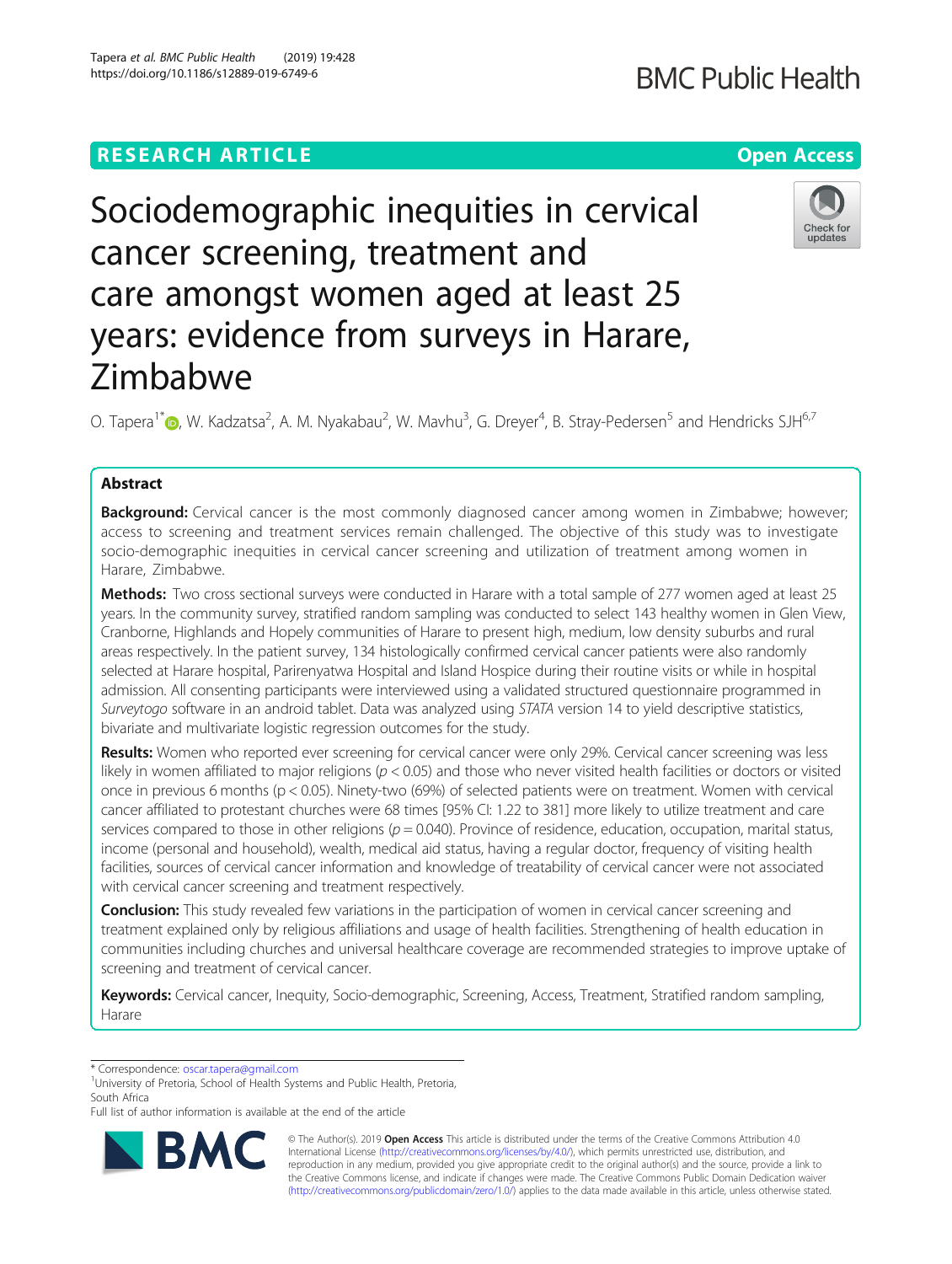# **RESEARCH ARTICLE Example 2018 12:30 THE Open Access**

# Sociodemographic inequities in cervical cancer screening, treatment and care amongst women aged at least 25 years: evidence from surveys in Harare, Zimbabwe

O. Tapera<sup>1[\\*](http://orcid.org/0000-0001-5916-4745)</sup>®, W. Kadzatsa<sup>2</sup>, A. M. Nyakabau<sup>2</sup>, W. Mavhu<sup>3</sup>, G. Dreyer<sup>4</sup>, B. Stray-Pedersen<sup>5</sup> and Hendricks SJH<sup>6,7</sup>

# Abstract

Background: Cervical cancer is the most commonly diagnosed cancer among women in Zimbabwe; however; access to screening and treatment services remain challenged. The objective of this study was to investigate socio-demographic inequities in cervical cancer screening and utilization of treatment among women in Harare, Zimbabwe.

Methods: Two cross sectional surveys were conducted in Harare with a total sample of 277 women aged at least 25 years. In the community survey, stratified random sampling was conducted to select 143 healthy women in Glen View, Cranborne, Highlands and Hopely communities of Harare to present high, medium, low density suburbs and rural areas respectively. In the patient survey, 134 histologically confirmed cervical cancer patients were also randomly selected at Harare hospital, Parirenyatwa Hospital and Island Hospice during their routine visits or while in hospital admission. All consenting participants were interviewed using a validated structured questionnaire programmed in Surveytogo software in an android tablet. Data was analyzed using STATA version 14 to yield descriptive statistics, bivariate and multivariate logistic regression outcomes for the study.

Results: Women who reported ever screening for cervical cancer were only 29%. Cervical cancer screening was less likely in women affiliated to major religions ( $p < 0.05$ ) and those who never visited health facilities or doctors or visited once in previous 6 months (p < 0.05). Ninety-two (69%) of selected patients were on treatment. Women with cervical cancer affiliated to protestant churches were 68 times [95% CI: 1.22 to 381] more likely to utilize treatment and care services compared to those in other religions ( $p = 0.040$ ). Province of residence, education, occupation, marital status, income (personal and household), wealth, medical aid status, having a regular doctor, frequency of visiting health facilities, sources of cervical cancer information and knowledge of treatability of cervical cancer were not associated with cervical cancer screening and treatment respectively.

**Conclusion:** This study revealed few variations in the participation of women in cervical cancer screening and treatment explained only by religious affiliations and usage of health facilities. Strengthening of health education in communities including churches and universal healthcare coverage are recommended strategies to improve uptake of screening and treatment of cervical cancer.

Keywords: Cervical cancer, Inequity, Socio-demographic, Screening, Access, Treatment, Stratified random sampling, Harare

\* Correspondence: [oscar.tapera@gmail.com](mailto:oscar.tapera@gmail.com) <sup>1</sup>

<sup>1</sup>University of Pretoria, School of Health Systems and Public Health, Pretoria, South Africa

Full list of author information is available at the end of the article

© The Author(s). 2019 Open Access This article is distributed under the terms of the Creative Commons Attribution 4.0 International License [\(http://creativecommons.org/licenses/by/4.0/](http://creativecommons.org/licenses/by/4.0/)), which permits unrestricted use, distribution, and reproduction in any medium, provided you give appropriate credit to the original author(s) and the source, provide a link to the Creative Commons license, and indicate if changes were made. The Creative Commons Public Domain Dedication waiver [\(http://creativecommons.org/publicdomain/zero/1.0/](http://creativecommons.org/publicdomain/zero/1.0/)) applies to the data made available in this article, unless otherwise stated.



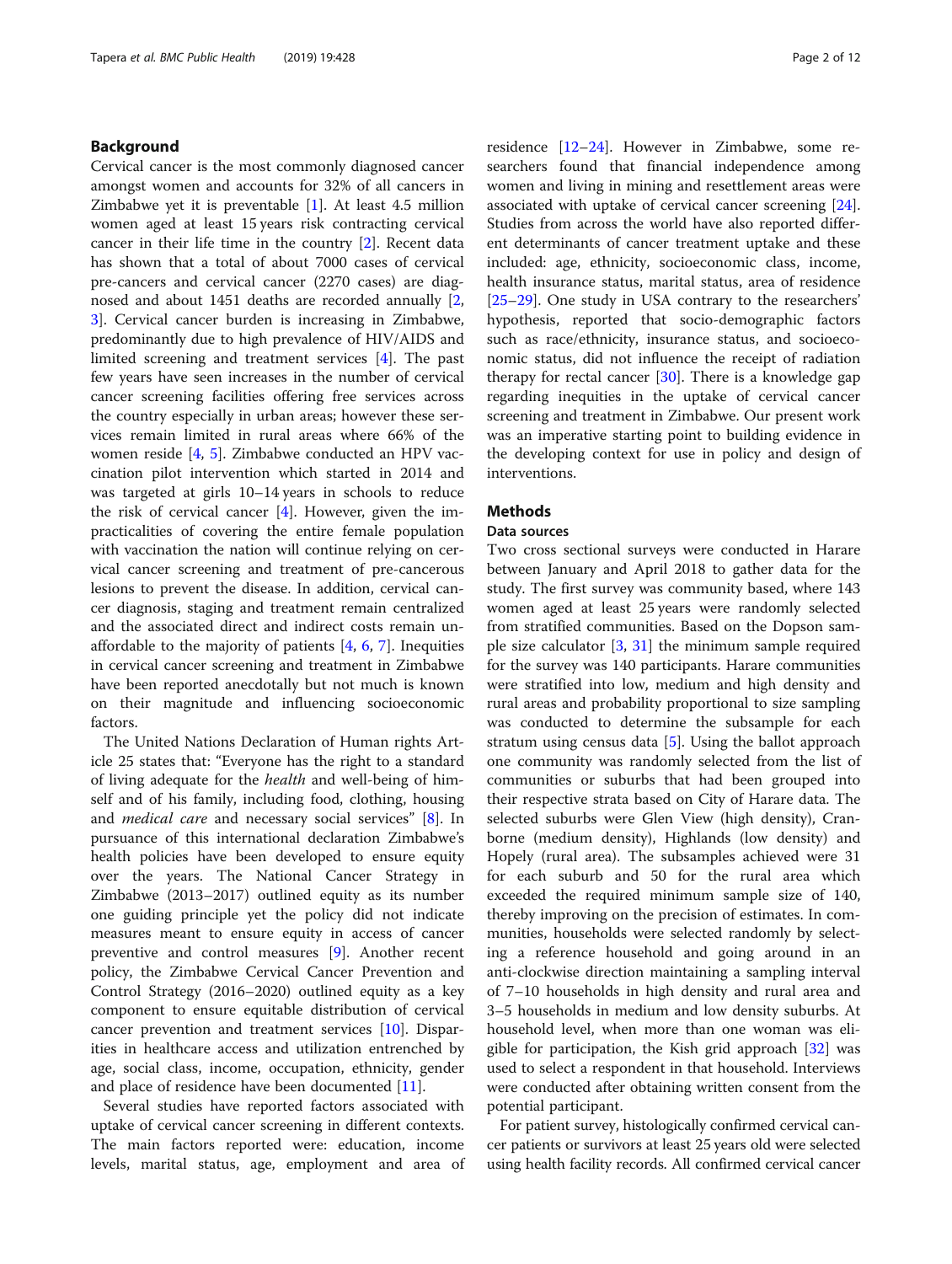# Background

Cervical cancer is the most commonly diagnosed cancer amongst women and accounts for 32% of all cancers in Zimbabwe yet it is preventable [[1](#page-10-0)]. At least 4.5 million women aged at least 15 years risk contracting cervical cancer in their life time in the country [[2](#page-10-0)]. Recent data has shown that a total of about 7000 cases of cervical pre-cancers and cervical cancer (2270 cases) are diagnosed and about 1451 deaths are recorded annually [\[2](#page-10-0), [3\]](#page-10-0). Cervical cancer burden is increasing in Zimbabwe, predominantly due to high prevalence of HIV/AIDS and limited screening and treatment services [[4\]](#page-10-0). The past few years have seen increases in the number of cervical cancer screening facilities offering free services across the country especially in urban areas; however these services remain limited in rural areas where 66% of the women reside [[4,](#page-10-0) [5](#page-10-0)]. Zimbabwe conducted an HPV vaccination pilot intervention which started in 2014 and was targeted at girls 10–14 years in schools to reduce the risk of cervical cancer [[4\]](#page-10-0). However, given the impracticalities of covering the entire female population with vaccination the nation will continue relying on cervical cancer screening and treatment of pre-cancerous lesions to prevent the disease. In addition, cervical cancer diagnosis, staging and treatment remain centralized and the associated direct and indirect costs remain unaffordable to the majority of patients  $[4, 6, 7]$  $[4, 6, 7]$  $[4, 6, 7]$  $[4, 6, 7]$  $[4, 6, 7]$  $[4, 6, 7]$ . Inequities in cervical cancer screening and treatment in Zimbabwe have been reported anecdotally but not much is known on their magnitude and influencing socioeconomic factors.

The United Nations Declaration of Human rights Article 25 states that: "Everyone has the right to a standard of living adequate for the health and well-being of himself and of his family, including food, clothing, housing and medical care and necessary social services" [\[8](#page-10-0)]. In pursuance of this international declaration Zimbabwe's health policies have been developed to ensure equity over the years. The National Cancer Strategy in Zimbabwe (2013–2017) outlined equity as its number one guiding principle yet the policy did not indicate measures meant to ensure equity in access of cancer preventive and control measures [[9\]](#page-10-0). Another recent policy, the Zimbabwe Cervical Cancer Prevention and Control Strategy (2016–2020) outlined equity as a key component to ensure equitable distribution of cervical cancer prevention and treatment services [[10](#page-10-0)]. Disparities in healthcare access and utilization entrenched by age, social class, income, occupation, ethnicity, gender and place of residence have been documented [\[11](#page-10-0)].

Several studies have reported factors associated with uptake of cervical cancer screening in different contexts. The main factors reported were: education, income levels, marital status, age, employment and area of residence [[12](#page-10-0)–[24](#page-10-0)]. However in Zimbabwe, some researchers found that financial independence among women and living in mining and resettlement areas were associated with uptake of cervical cancer screening [\[24](#page-10-0)]. Studies from across the world have also reported different determinants of cancer treatment uptake and these included: age, ethnicity, socioeconomic class, income, health insurance status, marital status, area of residence [[25](#page-10-0)–[29](#page-11-0)]. One study in USA contrary to the researchers' hypothesis, reported that socio-demographic factors such as race/ethnicity, insurance status, and socioeconomic status, did not influence the receipt of radiation therapy for rectal cancer  $[30]$  $[30]$ . There is a knowledge gap regarding inequities in the uptake of cervical cancer screening and treatment in Zimbabwe. Our present work was an imperative starting point to building evidence in the developing context for use in policy and design of interventions.

# **Methods**

# Data sources

Two cross sectional surveys were conducted in Harare between January and April 2018 to gather data for the study. The first survey was community based, where 143 women aged at least 25 years were randomly selected from stratified communities. Based on the Dopson sample size calculator [\[3](#page-10-0), [31\]](#page-11-0) the minimum sample required for the survey was 140 participants. Harare communities were stratified into low, medium and high density and rural areas and probability proportional to size sampling was conducted to determine the subsample for each stratum using census data [[5](#page-10-0)]. Using the ballot approach one community was randomly selected from the list of communities or suburbs that had been grouped into their respective strata based on City of Harare data. The selected suburbs were Glen View (high density), Cranborne (medium density), Highlands (low density) and Hopely (rural area). The subsamples achieved were 31 for each suburb and 50 for the rural area which exceeded the required minimum sample size of 140, thereby improving on the precision of estimates. In communities, households were selected randomly by selecting a reference household and going around in an anti-clockwise direction maintaining a sampling interval of 7–10 households in high density and rural area and 3–5 households in medium and low density suburbs. At household level, when more than one woman was eligible for participation, the Kish grid approach [\[32](#page-11-0)] was used to select a respondent in that household. Interviews were conducted after obtaining written consent from the potential participant.

For patient survey, histologically confirmed cervical cancer patients or survivors at least 25 years old were selected using health facility records. All confirmed cervical cancer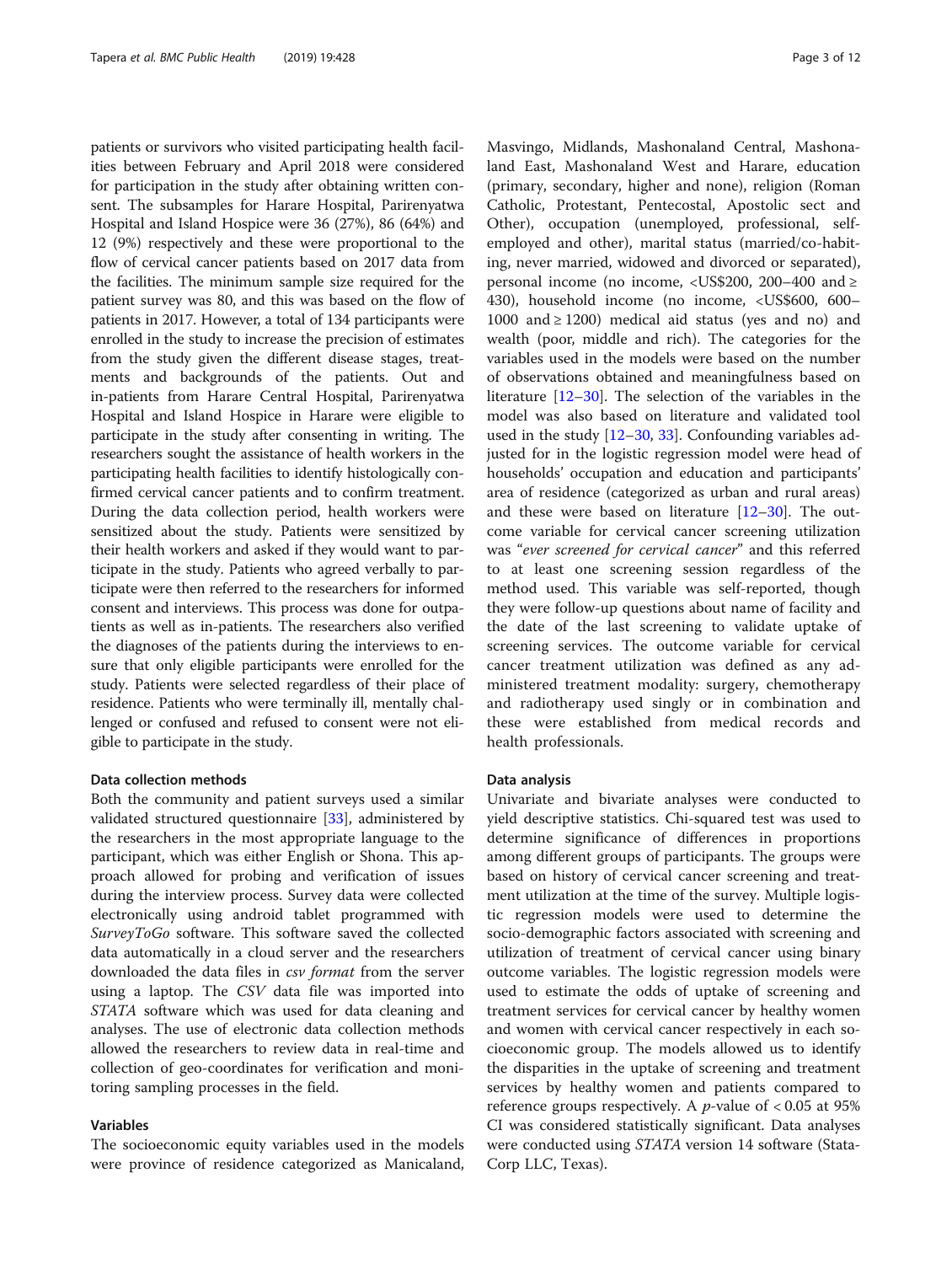patients or survivors who visited participating health facilities between February and April 2018 were considered for participation in the study after obtaining written consent. The subsamples for Harare Hospital, Parirenyatwa Hospital and Island Hospice were 36 (27%), 86 (64%) and 12 (9%) respectively and these were proportional to the flow of cervical cancer patients based on 2017 data from the facilities. The minimum sample size required for the patient survey was 80, and this was based on the flow of patients in 2017. However, a total of 134 participants were enrolled in the study to increase the precision of estimates from the study given the different disease stages, treatments and backgrounds of the patients. Out and in-patients from Harare Central Hospital, Parirenyatwa Hospital and Island Hospice in Harare were eligible to participate in the study after consenting in writing. The researchers sought the assistance of health workers in the participating health facilities to identify histologically confirmed cervical cancer patients and to confirm treatment. During the data collection period, health workers were sensitized about the study. Patients were sensitized by their health workers and asked if they would want to participate in the study. Patients who agreed verbally to participate were then referred to the researchers for informed consent and interviews. This process was done for outpatients as well as in-patients. The researchers also verified the diagnoses of the patients during the interviews to ensure that only eligible participants were enrolled for the study. Patients were selected regardless of their place of residence. Patients who were terminally ill, mentally challenged or confused and refused to consent were not eligible to participate in the study.

## Data collection methods

Both the community and patient surveys used a similar validated structured questionnaire [\[33](#page-11-0)], administered by the researchers in the most appropriate language to the participant, which was either English or Shona. This approach allowed for probing and verification of issues during the interview process. Survey data were collected electronically using android tablet programmed with SurveyToGo software. This software saved the collected data automatically in a cloud server and the researchers downloaded the data files in *csv format* from the server using a laptop. The CSV data file was imported into STATA software which was used for data cleaning and analyses. The use of electronic data collection methods allowed the researchers to review data in real-time and collection of geo-coordinates for verification and monitoring sampling processes in the field.

# Variables

The socioeconomic equity variables used in the models were province of residence categorized as Manicaland,

Masvingo, Midlands, Mashonaland Central, Mashonaland East, Mashonaland West and Harare, education (primary, secondary, higher and none), religion (Roman Catholic, Protestant, Pentecostal, Apostolic sect and Other), occupation (unemployed, professional, selfemployed and other), marital status (married/co-habiting, never married, widowed and divorced or separated), personal income (no income, <US\$200, 200–400 and ≥ 430), household income (no income, <US\$600, 600– 1000 and ≥ 1200) medical aid status (yes and no) and wealth (poor, middle and rich). The categories for the variables used in the models were based on the number of observations obtained and meaningfulness based on literature [\[12](#page-10-0)–[30\]](#page-11-0). The selection of the variables in the model was also based on literature and validated tool used in the study [\[12](#page-10-0)–[30,](#page-11-0) [33\]](#page-11-0). Confounding variables adjusted for in the logistic regression model were head of households' occupation and education and participants' area of residence (categorized as urban and rural areas) and these were based on literature  $[12-30]$  $[12-30]$  $[12-30]$  $[12-30]$ . The outcome variable for cervical cancer screening utilization was "ever screened for cervical cancer" and this referred to at least one screening session regardless of the method used. This variable was self-reported, though they were follow-up questions about name of facility and the date of the last screening to validate uptake of screening services. The outcome variable for cervical cancer treatment utilization was defined as any administered treatment modality: surgery, chemotherapy and radiotherapy used singly or in combination and these were established from medical records and health professionals.

# Data analysis

Univariate and bivariate analyses were conducted to yield descriptive statistics. Chi-squared test was used to determine significance of differences in proportions among different groups of participants. The groups were based on history of cervical cancer screening and treatment utilization at the time of the survey. Multiple logistic regression models were used to determine the socio-demographic factors associated with screening and utilization of treatment of cervical cancer using binary outcome variables. The logistic regression models were used to estimate the odds of uptake of screening and treatment services for cervical cancer by healthy women and women with cervical cancer respectively in each socioeconomic group. The models allowed us to identify the disparities in the uptake of screening and treatment services by healthy women and patients compared to reference groups respectively. A *p*-value of  $< 0.05$  at 95% CI was considered statistically significant. Data analyses were conducted using STATA version 14 software (Stata-Corp LLC, Texas).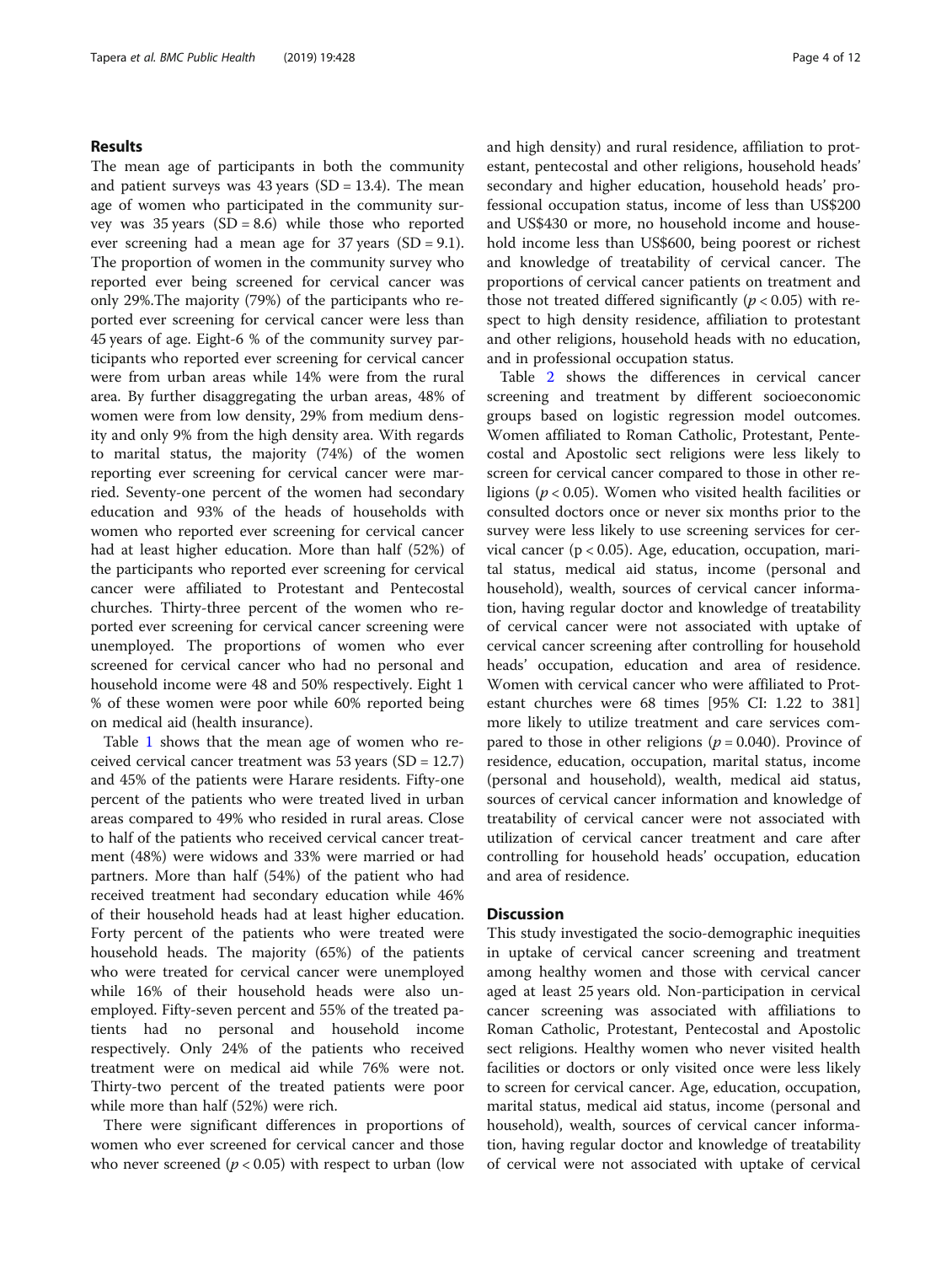# Results

The mean age of participants in both the community and patient surveys was  $43$  years (SD = 13.4). The mean age of women who participated in the community survey was 35 years (SD = 8.6) while those who reported ever screening had a mean age for  $37$  years (SD = 9.1). The proportion of women in the community survey who reported ever being screened for cervical cancer was only 29%.The majority (79%) of the participants who reported ever screening for cervical cancer were less than 45 years of age. Eight-6 % of the community survey participants who reported ever screening for cervical cancer were from urban areas while 14% were from the rural area. By further disaggregating the urban areas, 48% of women were from low density, 29% from medium density and only 9% from the high density area. With regards to marital status, the majority (74%) of the women reporting ever screening for cervical cancer were married. Seventy-one percent of the women had secondary education and 93% of the heads of households with women who reported ever screening for cervical cancer had at least higher education. More than half (52%) of the participants who reported ever screening for cervical cancer were affiliated to Protestant and Pentecostal churches. Thirty-three percent of the women who reported ever screening for cervical cancer screening were unemployed. The proportions of women who ever screened for cervical cancer who had no personal and household income were 48 and 50% respectively. Eight 1 % of these women were poor while 60% reported being on medical aid (health insurance).

Table [1](#page-4-0) shows that the mean age of women who received cervical cancer treatment was 53 years (SD = 12.7) and 45% of the patients were Harare residents. Fifty-one percent of the patients who were treated lived in urban areas compared to 49% who resided in rural areas. Close to half of the patients who received cervical cancer treatment (48%) were widows and 33% were married or had partners. More than half (54%) of the patient who had received treatment had secondary education while 46% of their household heads had at least higher education. Forty percent of the patients who were treated were household heads. The majority (65%) of the patients who were treated for cervical cancer were unemployed while 16% of their household heads were also unemployed. Fifty-seven percent and 55% of the treated patients had no personal and household income respectively. Only 24% of the patients who received treatment were on medical aid while 76% were not. Thirty-two percent of the treated patients were poor while more than half (52%) were rich.

There were significant differences in proportions of women who ever screened for cervical cancer and those who never screened ( $p < 0.05$ ) with respect to urban (low and high density) and rural residence, affiliation to protestant, pentecostal and other religions, household heads' secondary and higher education, household heads' professional occupation status, income of less than US\$200 and US\$430 or more, no household income and household income less than US\$600, being poorest or richest and knowledge of treatability of cervical cancer. The proportions of cervical cancer patients on treatment and those not treated differed significantly ( $p < 0.05$ ) with respect to high density residence, affiliation to protestant and other religions, household heads with no education, and in professional occupation status.

Table [2](#page-7-0) shows the differences in cervical cancer screening and treatment by different socioeconomic groups based on logistic regression model outcomes. Women affiliated to Roman Catholic, Protestant, Pentecostal and Apostolic sect religions were less likely to screen for cervical cancer compared to those in other religions ( $p < 0.05$ ). Women who visited health facilities or consulted doctors once or never six months prior to the survey were less likely to use screening services for cervical cancer ( $p < 0.05$ ). Age, education, occupation, marital status, medical aid status, income (personal and household), wealth, sources of cervical cancer information, having regular doctor and knowledge of treatability of cervical cancer were not associated with uptake of cervical cancer screening after controlling for household heads' occupation, education and area of residence. Women with cervical cancer who were affiliated to Protestant churches were 68 times [95% CI: 1.22 to 381] more likely to utilize treatment and care services compared to those in other religions ( $p = 0.040$ ). Province of residence, education, occupation, marital status, income (personal and household), wealth, medical aid status, sources of cervical cancer information and knowledge of treatability of cervical cancer were not associated with utilization of cervical cancer treatment and care after controlling for household heads' occupation, education and area of residence.

# **Discussion**

This study investigated the socio-demographic inequities in uptake of cervical cancer screening and treatment among healthy women and those with cervical cancer aged at least 25 years old. Non-participation in cervical cancer screening was associated with affiliations to Roman Catholic, Protestant, Pentecostal and Apostolic sect religions. Healthy women who never visited health facilities or doctors or only visited once were less likely to screen for cervical cancer. Age, education, occupation, marital status, medical aid status, income (personal and household), wealth, sources of cervical cancer information, having regular doctor and knowledge of treatability of cervical were not associated with uptake of cervical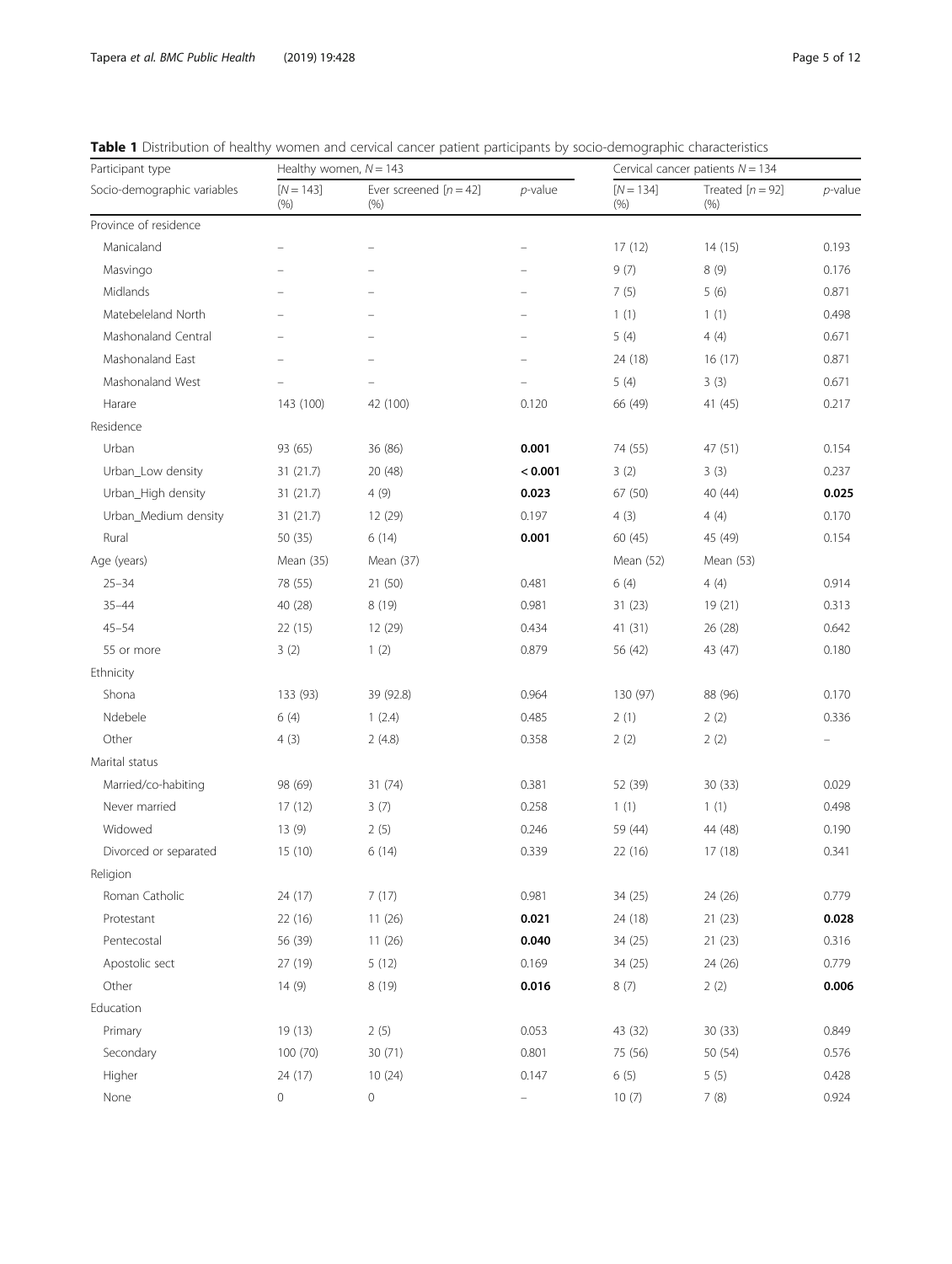<span id="page-4-0"></span>

|  |  |  |  |  |  |  | Table 1 Distribution of healthy women and cervical cancer patient participants by socio-demographic characteristics |
|--|--|--|--|--|--|--|---------------------------------------------------------------------------------------------------------------------|
|--|--|--|--|--|--|--|---------------------------------------------------------------------------------------------------------------------|

| Participant type            | Healthy women, $N = 143$ |                                |                          |                        | Cervical cancer patients $N = 134$ |            |  |
|-----------------------------|--------------------------|--------------------------------|--------------------------|------------------------|------------------------------------|------------|--|
| Socio-demographic variables | $[N = 143]$<br>(% )      | Ever screened $[n=42]$<br>(% ) | p-value                  | $[N = 134]$<br>$(\% )$ | Treated $[n = 92]$<br>$(\% )$      | $p$ -value |  |
| Province of residence       |                          |                                |                          |                        |                                    |            |  |
| Manicaland                  |                          |                                |                          | 17(12)                 | 14(15)                             | 0.193      |  |
| Masvingo                    |                          |                                |                          | 9(7)                   | 8 (9)                              | 0.176      |  |
| Midlands                    |                          |                                |                          | 7(5)                   | 5(6)                               | 0.871      |  |
| Matebeleland North          |                          |                                |                          | 1(1)                   | 1(1)                               | 0.498      |  |
| Mashonaland Central         |                          |                                | $\overline{\phantom{0}}$ | 5(4)                   | 4(4)                               | 0.671      |  |
| Mashonaland East            |                          |                                |                          | 24 (18)                | 16(17)                             | 0.871      |  |
| Mashonaland West            |                          |                                |                          | 5(4)                   | 3(3)                               | 0.671      |  |
| Harare                      | 143 (100)                | 42 (100)                       | 0.120                    | 66 (49)                | 41 (45)                            | 0.217      |  |
| Residence                   |                          |                                |                          |                        |                                    |            |  |
| Urban                       | 93 (65)                  | 36 (86)                        | 0.001                    | 74 (55)                | 47 (51)                            | 0.154      |  |
| Urban_Low density           | 31(21.7)                 | 20 (48)                        | < 0.001                  | 3(2)                   | 3(3)                               | 0.237      |  |
| Urban_High density          | 31 (21.7)                | 4(9)                           | 0.023                    | 67 (50)                | 40 (44)                            | 0.025      |  |
| Urban_Medium density        | 31 (21.7)                | 12 (29)                        | 0.197                    | 4(3)                   | 4(4)                               | 0.170      |  |
| Rural                       | 50 (35)                  | 6(14)                          | 0.001                    | 60(45)                 | 45 (49)                            | 0.154      |  |
| Age (years)                 | Mean (35)                | Mean (37)                      |                          | Mean (52)              | Mean (53)                          |            |  |
| $25 - 34$                   | 78 (55)                  | 21 (50)                        | 0.481                    | 6(4)                   | 4(4)                               | 0.914      |  |
| $35 - 44$                   | 40 (28)                  | 8(19)                          | 0.981                    | 31(23)                 | 19 (21)                            | 0.313      |  |
| $45 - 54$                   | 22 (15)                  | 12 (29)                        | 0.434                    | 41 (31)                | 26 (28)                            | 0.642      |  |
| 55 or more                  | 3(2)                     | 1(2)                           | 0.879                    | 56 (42)                | 43 (47)                            | 0.180      |  |
| Ethnicity                   |                          |                                |                          |                        |                                    |            |  |
| Shona                       | 133 (93)                 | 39 (92.8)                      | 0.964                    | 130 (97)               | 88 (96)                            | 0.170      |  |
| Ndebele                     | 6(4)                     | 1(2.4)                         | 0.485                    | 2(1)                   | 2(2)                               | 0.336      |  |
| Other                       | 4(3)                     | 2(4.8)                         | 0.358                    | 2(2)                   | 2(2)                               |            |  |
| Marital status              |                          |                                |                          |                        |                                    |            |  |
| Married/co-habiting         | 98 (69)                  | 31 (74)                        | 0.381                    | 52 (39)                | 30(33)                             | 0.029      |  |
| Never married               | 17(12)                   | 3(7)                           | 0.258                    | 1(1)                   | 1(1)                               | 0.498      |  |
| Widowed                     | 13 (9)                   | 2(5)                           | 0.246                    | 59 (44)                | 44 (48)                            | 0.190      |  |
| Divorced or separated       | 15 (10)                  | 6(14)                          | 0.339                    | 22 (16)                | 17 (18)                            | 0.341      |  |
| Religion                    |                          |                                |                          |                        |                                    |            |  |
| Roman Catholic              | 24 (17)                  | 7(17)                          | 0.981                    | 34 (25)                | 24 (26)                            | 0.779      |  |
| Protestant                  | 22(16)                   | 11(26)                         | 0.021                    | 24 (18)                | 21(23)                             | 0.028      |  |
| Pentecostal                 | 56 (39)                  | 11(26)                         | 0.040                    | 34 (25)                | 21(23)                             | 0.316      |  |
| Apostolic sect              | 27 (19)                  | 5(12)                          | 0.169                    | 34 (25)                | 24 (26)                            | 0.779      |  |
| Other                       | 14(9)                    | 8 (19)                         | 0.016                    | 8(7)                   | 2(2)                               | 0.006      |  |
| Education                   |                          |                                |                          |                        |                                    |            |  |
| Primary                     | 19 (13)                  | 2(5)                           | 0.053                    | 43 (32)                | 30(33)                             | 0.849      |  |
| Secondary                   | 100 (70)                 | 30 (71)                        | 0.801                    | 75 (56)                | 50 (54)                            | 0.576      |  |
| Higher                      | 24 (17)                  | 10(24)                         | 0.147                    | 6(5)                   | 5(5)                               | 0.428      |  |
| None                        | 0                        | 0                              | -                        | 10(7)                  | 7(8)                               | 0.924      |  |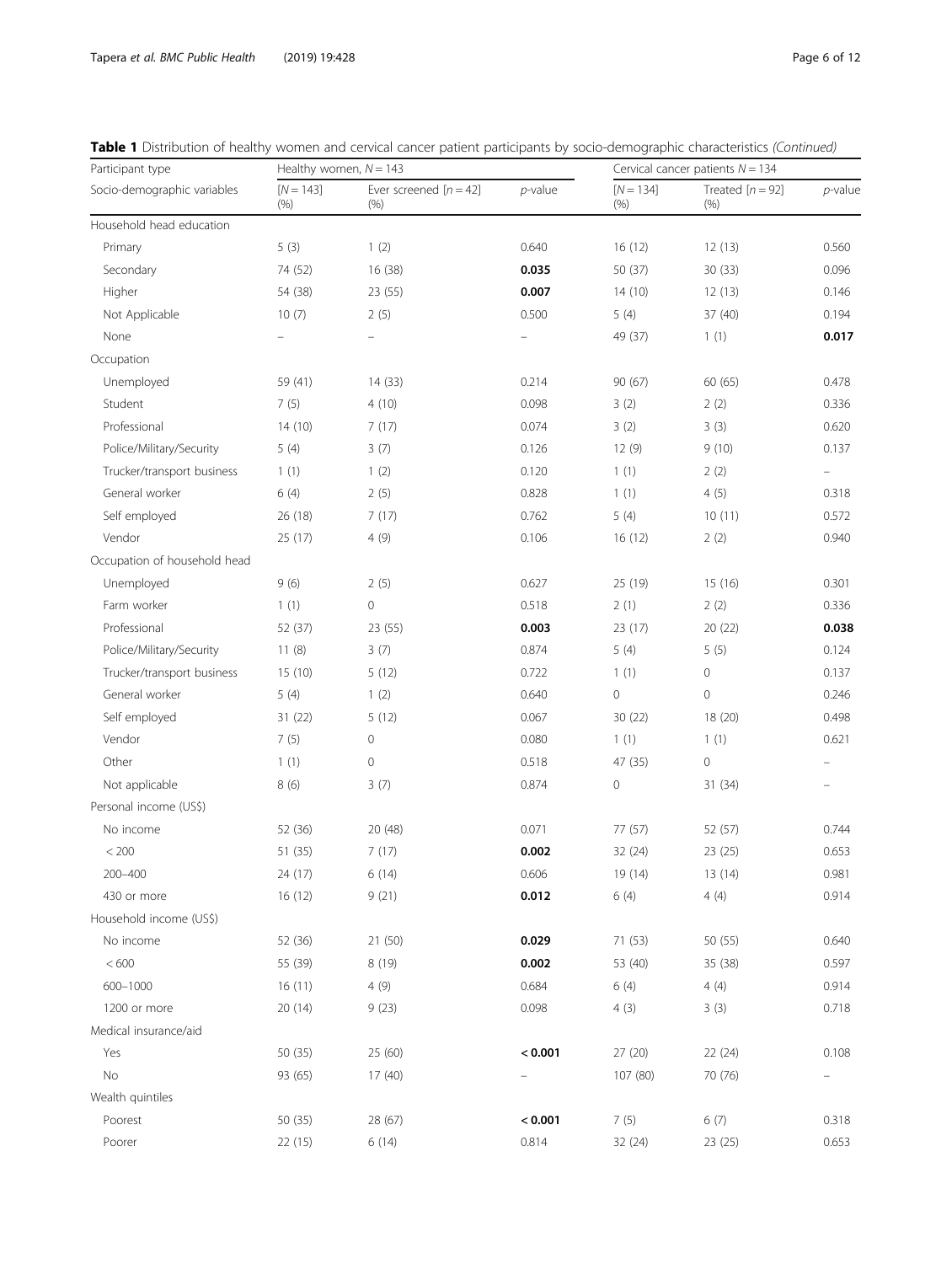| Participant type             | Healthy women, $N = 143$ |                                |                          | Cervical cancer patients $N = 134$ |                            |                   |
|------------------------------|--------------------------|--------------------------------|--------------------------|------------------------------------|----------------------------|-------------------|
| Socio-demographic variables  | $[N = 143]$<br>(% )      | Ever screened $[n=42]$<br>(% ) | $p$ -value               | $[N = 134]$<br>(% )                | Treated $[n = 92]$<br>(% ) | $p$ -value        |
| Household head education     |                          |                                |                          |                                    |                            |                   |
| Primary                      | 5(3)                     | 1(2)                           | 0.640                    | 16(12)                             | 12(13)                     | 0.560             |
| Secondary                    | 74 (52)                  | 16 (38)                        | 0.035                    | 50 (37)                            | 30 (33)                    | 0.096             |
| Higher                       | 54 (38)                  | 23 (55)                        | 0.007                    | 14(10)                             | 12(13)                     | 0.146             |
| Not Applicable               | 10(7)                    | 2(5)                           | 0.500                    | 5(4)                               | 37 (40)                    | 0.194             |
| None                         | $\overline{\phantom{0}}$ | $\overline{\phantom{0}}$       | $\overline{\phantom{0}}$ | 49 (37)                            | 1(1)                       | 0.017             |
| Occupation                   |                          |                                |                          |                                    |                            |                   |
| Unemployed                   | 59 (41)                  | 14 (33)                        | 0.214                    | 90 (67)                            | 60 (65)                    | 0.478             |
| Student                      | 7(5)                     | 4(10)                          | 0.098                    | 3(2)                               | 2(2)                       | 0.336             |
| Professional                 | 14(10)                   | 7(17)                          | 0.074                    | 3(2)                               | 3(3)                       | 0.620             |
| Police/Military/Security     | 5(4)                     | 3(7)                           | 0.126                    | 12 (9)                             | 9(10)                      | 0.137             |
| Trucker/transport business   | 1(1)                     | 1(2)                           | 0.120                    | 1(1)                               | 2(2)                       | $\qquad \qquad -$ |
| General worker               | 6(4)                     | 2(5)                           | 0.828                    | 1(1)                               | 4(5)                       | 0.318             |
| Self employed                | 26 (18)                  | 7(17)                          | 0.762                    | 5(4)                               | 10(11)                     | 0.572             |
| Vendor                       | 25 (17)                  | 4(9)                           | 0.106                    | 16(12)                             | 2(2)                       | 0.940             |
| Occupation of household head |                          |                                |                          |                                    |                            |                   |
| Unemployed                   | 9(6)                     | 2(5)                           | 0.627                    | 25 (19)                            | 15 (16)                    | 0.301             |
| Farm worker                  | 1(1)                     | $\mathsf{O}\xspace$            | 0.518                    | 2(1)                               | 2(2)                       | 0.336             |
| Professional                 | 52 (37)                  | 23 (55)                        | 0.003                    | 23(17)                             | 20(22)                     | 0.038             |
| Police/Military/Security     | 11(8)                    | 3(7)                           | 0.874                    | 5(4)                               | 5(5)                       | 0.124             |
| Trucker/transport business   | 15(10)                   | 5(12)                          | 0.722                    | 1(1)                               | $\mathbf 0$                | 0.137             |
| General worker               | 5(4)                     | 1(2)                           | 0.640                    | 0                                  | $\mathbf 0$                | 0.246             |
| Self employed                | 31 (22)                  | 5(12)                          | 0.067                    | 30 (22)                            | 18 (20)                    | 0.498             |
| Vendor                       | 7(5)                     | $\mathsf{O}\xspace$            | 0.080                    | 1(1)                               | 1(1)                       | 0.621             |
| Other                        | 1(1)                     | $\circ$                        | 0.518                    | 47 (35)                            | $\mathsf{O}\xspace$        |                   |
| Not applicable               | 8(6)                     | 3(7)                           | 0.874                    | 0                                  | 31(34)                     |                   |
| Personal income (US\$)       |                          |                                |                          |                                    |                            |                   |
| No income                    | 52 (36)                  | 20 (48)                        | 0.071                    | 77 (57)                            | 52 (57)                    | 0.744             |
| < 200                        | 51 (35)                  | 7(17)                          | 0.002                    | 32 (24)                            | 23 (25)                    | 0.653             |
| 200-400                      | 24 (17)                  | 6(14)                          | 0.606                    | 19 (14)                            | 13 (14)                    | 0.981             |
| 430 or more                  | 16(12)                   | 9(21)                          | 0.012                    | 6 (4)                              | 4(4)                       | 0.914             |
| Household income (US\$)      |                          |                                |                          |                                    |                            |                   |
| No income                    | 52 (36)                  | 21 (50)                        | 0.029                    | 71 (53)                            | 50 (55)                    | 0.640             |
| $<600$                       | 55 (39)                  | 8 (19)                         | 0.002                    | 53 (40)                            | 35 (38)                    | 0.597             |
| 600-1000                     | 16(11)                   | 4(9)                           | 0.684                    | 6(4)                               | 4(4)                       | 0.914             |
| 1200 or more                 | 20(14)                   | 9(23)                          | 0.098                    | 4(3)                               | 3(3)                       | 0.718             |
| Medical insurance/aid        |                          |                                |                          |                                    |                            |                   |
| Yes                          | 50 (35)                  | 25 (60)                        | < 0.001                  | 27 (20)                            | 22 (24)                    | 0.108             |
| No                           | 93 (65)                  | 17(40)                         |                          | 107 (80)                           | 70 (76)                    |                   |
| Wealth quintiles             |                          |                                |                          |                                    |                            |                   |
| Poorest                      | 50 (35)                  | 28 (67)                        | < 0.001                  | 7(5)                               | 6(7)                       | 0.318             |
| Poorer                       | 22(15)                   | 6(14)                          | 0.814                    | 32 (24)                            | 23(25)                     | 0.653             |
|                              |                          |                                |                          |                                    |                            |                   |

|  |  |  |  |  | Table 1 Distribution of healthy women and cervical cancer patient participants by socio-demographic characteristics (Continued) |
|--|--|--|--|--|---------------------------------------------------------------------------------------------------------------------------------|
|--|--|--|--|--|---------------------------------------------------------------------------------------------------------------------------------|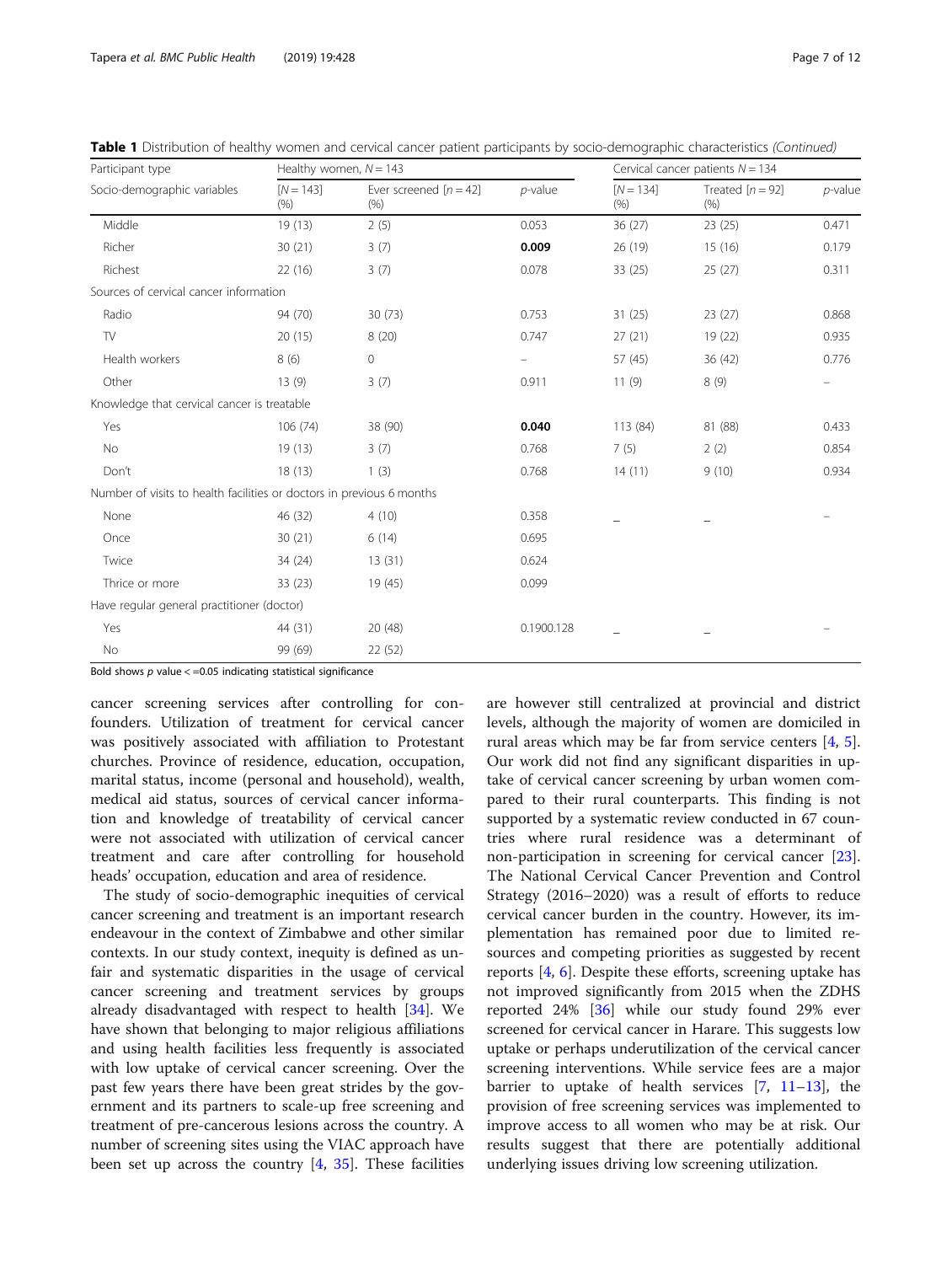| Participant type                                                      | Healthy women, $N = 143$ |                                  |            |                     | Cervical cancer patients $N = 134$ |            |  |
|-----------------------------------------------------------------------|--------------------------|----------------------------------|------------|---------------------|------------------------------------|------------|--|
| Socio-demographic variables                                           | $[N = 143]$<br>(% )      | Ever screened $[n = 42]$<br>(% ) | $p$ -value | $[N = 134]$<br>(% ) | Treated $[n = 92]$<br>(% )         | $p$ -value |  |
| Middle                                                                | 19 (13)                  | 2(5)                             | 0.053      | 36 (27)             | 23(25)                             | 0.471      |  |
| Richer                                                                | 30(21)                   | 3(7)                             | 0.009      | 26 (19)             | 15(16)                             | 0.179      |  |
| Richest                                                               | 22 (16)                  | 3(7)                             | 0.078      | 33(25)              | 25(27)                             | 0.311      |  |
| Sources of cervical cancer information                                |                          |                                  |            |                     |                                    |            |  |
| Radio                                                                 | 94 (70)                  | 30(73)                           | 0.753      | 31(25)              | 23(27)                             | 0.868      |  |
| TV                                                                    | 20(15)                   | 8(20)                            | 0.747      | 27(21)              | 19 (22)                            | 0.935      |  |
| Health workers                                                        | 8(6)                     | $\circ$                          | -          | 57 (45)             | 36 (42)                            | 0.776      |  |
| Other                                                                 | 13(9)                    | 3(7)                             | 0.911      | 11(9)               | 8(9)                               |            |  |
| Knowledge that cervical cancer is treatable                           |                          |                                  |            |                     |                                    |            |  |
| Yes                                                                   | 106(74)                  | 38 (90)                          | 0.040      | 113 (84)            | 81 (88)                            | 0.433      |  |
| No                                                                    | 19(13)                   | 3(7)                             | 0.768      | 7(5)                | 2(2)                               | 0.854      |  |
| Don't                                                                 | 18(13)                   | 1(3)                             | 0.768      | 14(11)              | 9(10)                              | 0.934      |  |
| Number of visits to health facilities or doctors in previous 6 months |                          |                                  |            |                     |                                    |            |  |
| None                                                                  | 46 (32)                  | 4(10)                            | 0.358      |                     |                                    |            |  |
| Once                                                                  | 30(21)                   | 6(14)                            | 0.695      |                     |                                    |            |  |
| Twice                                                                 | 34 (24)                  | 13(31)                           | 0.624      |                     |                                    |            |  |
| Thrice or more                                                        | 33(23)                   | 19 (45)                          | 0.099      |                     |                                    |            |  |
| Have regular general practitioner (doctor)                            |                          |                                  |            |                     |                                    |            |  |
| Yes                                                                   | 44 (31)                  | 20(48)                           | 0.1900.128 |                     |                                    |            |  |
| No                                                                    | 99 (69)                  | 22 (52)                          |            |                     |                                    |            |  |

Table 1 Distribution of healthy women and cervical cancer patient participants by socio-demographic characteristics (Continued)

Bold shows  $p$  value  $\lt$  =0.05 indicating statistical significance

cancer screening services after controlling for confounders. Utilization of treatment for cervical cancer was positively associated with affiliation to Protestant churches. Province of residence, education, occupation, marital status, income (personal and household), wealth, medical aid status, sources of cervical cancer information and knowledge of treatability of cervical cancer were not associated with utilization of cervical cancer treatment and care after controlling for household heads' occupation, education and area of residence.

The study of socio-demographic inequities of cervical cancer screening and treatment is an important research endeavour in the context of Zimbabwe and other similar contexts. In our study context, inequity is defined as unfair and systematic disparities in the usage of cervical cancer screening and treatment services by groups already disadvantaged with respect to health [\[34](#page-11-0)]. We have shown that belonging to major religious affiliations and using health facilities less frequently is associated with low uptake of cervical cancer screening. Over the past few years there have been great strides by the government and its partners to scale-up free screening and treatment of pre-cancerous lesions across the country. A number of screening sites using the VIAC approach have been set up across the country  $[4, 35]$  $[4, 35]$  $[4, 35]$ . These facilities

are however still centralized at provincial and district levels, although the majority of women are domiciled in rural areas which may be far from service centers [[4,](#page-10-0) [5](#page-10-0)]. Our work did not find any significant disparities in uptake of cervical cancer screening by urban women compared to their rural counterparts. This finding is not supported by a systematic review conducted in 67 countries where rural residence was a determinant of non-participation in screening for cervical cancer [\[23](#page-10-0)]. The National Cervical Cancer Prevention and Control Strategy (2016–2020) was a result of efforts to reduce cervical cancer burden in the country. However, its implementation has remained poor due to limited resources and competing priorities as suggested by recent reports  $[4, 6]$  $[4, 6]$  $[4, 6]$  $[4, 6]$ . Despite these efforts, screening uptake has not improved significantly from 2015 when the ZDHS reported 24% [\[36\]](#page-11-0) while our study found 29% ever screened for cervical cancer in Harare. This suggests low uptake or perhaps underutilization of the cervical cancer screening interventions. While service fees are a major barrier to uptake of health services  $[7, 11-13]$  $[7, 11-13]$  $[7, 11-13]$  $[7, 11-13]$  $[7, 11-13]$  $[7, 11-13]$ , the provision of free screening services was implemented to improve access to all women who may be at risk. Our results suggest that there are potentially additional underlying issues driving low screening utilization.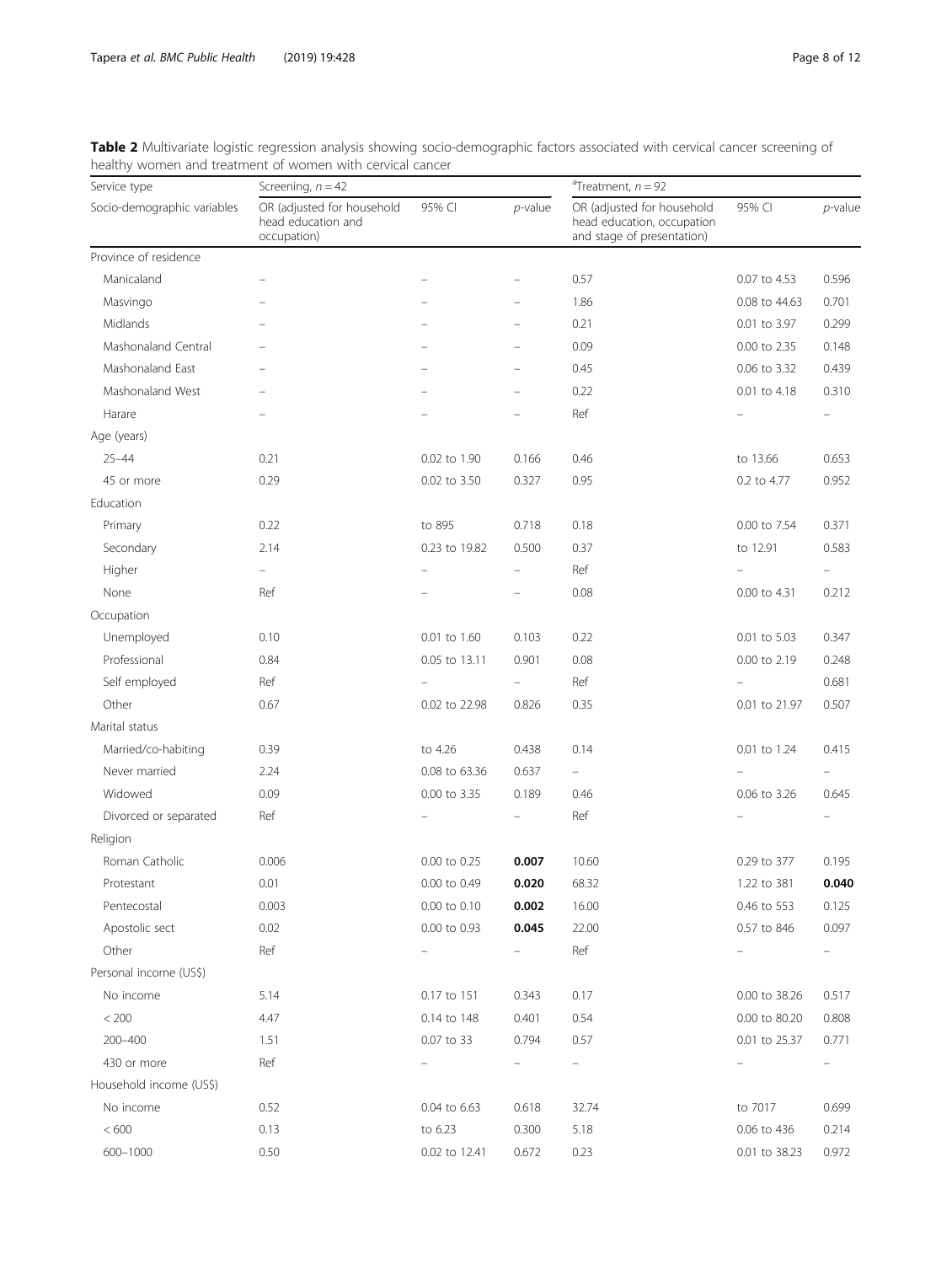| Service type                | Screening, $n = 42$                                             |                          |            | $n$ Treatment, $n = 92$                                                                |               |                          |  |
|-----------------------------|-----------------------------------------------------------------|--------------------------|------------|----------------------------------------------------------------------------------------|---------------|--------------------------|--|
| Socio-demographic variables | OR (adjusted for household<br>head education and<br>occupation) | 95% CI                   | $p$ -value | OR (adjusted for household<br>head education, occupation<br>and stage of presentation) | 95% CI        | $p$ -value               |  |
| Province of residence       |                                                                 |                          |            |                                                                                        |               |                          |  |
| Manicaland                  |                                                                 |                          |            | 0.57                                                                                   | 0.07 to 4.53  | 0.596                    |  |
| Masvingo                    |                                                                 |                          |            | 1.86                                                                                   | 0.08 to 44.63 | 0.701                    |  |
| Midlands                    |                                                                 |                          |            | 0.21                                                                                   | 0.01 to 3.97  | 0.299                    |  |
| Mashonaland Central         |                                                                 |                          |            | 0.09                                                                                   | 0.00 to 2.35  | 0.148                    |  |
| Mashonaland East            |                                                                 |                          |            | 0.45                                                                                   | 0.06 to 3.32  | 0.439                    |  |
| Mashonaland West            |                                                                 |                          |            | 0.22                                                                                   | 0.01 to 4.18  | 0.310                    |  |
| Harare                      |                                                                 |                          |            | Ref                                                                                    |               | $\overline{\phantom{0}}$ |  |
| Age (years)                 |                                                                 |                          |            |                                                                                        |               |                          |  |
| $25 - 44$                   | 0.21                                                            | 0.02 to 1.90             | 0.166      | 0.46                                                                                   | to 13.66      | 0.653                    |  |
| 45 or more                  | 0.29                                                            | 0.02 to 3.50             | 0.327      | 0.95                                                                                   | 0.2 to 4.77   | 0.952                    |  |
| Education                   |                                                                 |                          |            |                                                                                        |               |                          |  |
| Primary                     | 0.22                                                            | to 895                   | 0.718      | 0.18                                                                                   | 0.00 to 7.54  | 0.371                    |  |
| Secondary                   | 2.14                                                            | 0.23 to 19.82            | 0.500      | 0.37                                                                                   | to 12.91      | 0.583                    |  |
| Higher                      |                                                                 |                          |            | Ref                                                                                    |               |                          |  |
| None                        | Ref                                                             |                          |            | 0.08                                                                                   | 0.00 to 4.31  | 0.212                    |  |
| Occupation                  |                                                                 |                          |            |                                                                                        |               |                          |  |
| Unemployed                  | 0.10                                                            | 0.01 to 1.60             | 0.103      | 0.22                                                                                   | 0.01 to 5.03  | 0.347                    |  |
| Professional                | 0.84                                                            | 0.05 to 13.11            | 0.901      | 0.08                                                                                   | 0.00 to 2.19  | 0.248                    |  |
| Self employed               | Ref                                                             |                          | Ξ.         | Ref                                                                                    |               | 0.681                    |  |
| Other                       | 0.67                                                            | 0.02 to 22.98            | 0.826      | 0.35                                                                                   | 0.01 to 21.97 | 0.507                    |  |
| Marital status              |                                                                 |                          |            |                                                                                        |               |                          |  |
| Married/co-habiting         | 0.39                                                            | to 4.26                  | 0.438      | 0.14                                                                                   | 0.01 to 1.24  | 0.415                    |  |
| Never married               | 2.24                                                            | 0.08 to 63.36            | 0.637      | $\equiv$                                                                               |               |                          |  |
| Widowed                     | 0.09                                                            | 0.00 to 3.35             | 0.189      | 0.46                                                                                   | 0.06 to 3.26  | 0.645                    |  |
| Divorced or separated       | Ref                                                             |                          |            | Ref                                                                                    |               |                          |  |
| Religion                    |                                                                 |                          |            |                                                                                        |               |                          |  |
| Roman Catholic              | 0.006                                                           | 0.00 to 0.25             | 0.007      | 10.60                                                                                  | 0.29 to 377   | 0.195                    |  |
| Protestant                  | 0.01                                                            | 0.00 to 0.49             | 0.020      | 68.32                                                                                  | 1.22 to 381   | 0.040                    |  |
| Pentecostal                 | 0.003                                                           | 0.00 to 0.10             | 0.002      | 16.00                                                                                  | 0.46 to 553   | 0.125                    |  |
| Apostolic sect              | 0.02                                                            | 0.00 to 0.93             | 0.045      | 22.00                                                                                  | 0.57 to 846   | 0.097                    |  |
| Other                       | Ref                                                             | $\overline{\phantom{0}}$ | -          | Ref                                                                                    |               | н.                       |  |
| Personal income (US\$)      |                                                                 |                          |            |                                                                                        |               |                          |  |
| No income                   | 5.14                                                            | 0.17 to 151              | 0.343      | 0.17                                                                                   | 0.00 to 38.26 | 0.517                    |  |
| $< 200$                     | 4.47                                                            | 0.14 to 148              | 0.401      | 0.54                                                                                   | 0.00 to 80.20 | 0.808                    |  |
| 200-400                     | 1.51                                                            | 0.07 to 33               | 0.794      | 0.57                                                                                   | 0.01 to 25.37 | 0.771                    |  |
| 430 or more                 | Ref                                                             |                          |            | $\qquad \qquad -$                                                                      |               |                          |  |
| Household income (US\$)     |                                                                 |                          |            |                                                                                        |               |                          |  |
| No income                   | 0.52                                                            | 0.04 to 6.63             | 0.618      | 32.74                                                                                  | to 7017       | 0.699                    |  |
| $<600$                      | 0.13                                                            | to 6.23                  | 0.300      | 5.18                                                                                   | 0.06 to 436   | 0.214                    |  |
| 600-1000                    | 0.50                                                            | 0.02 to 12.41            | 0.672      | 0.23                                                                                   | 0.01 to 38.23 | 0.972                    |  |

<span id="page-7-0"></span>Table 2 Multivariate logistic regression analysis showing socio-demographic factors associated with cervical cancer screening of healthy women and treatment of women with cervical cancer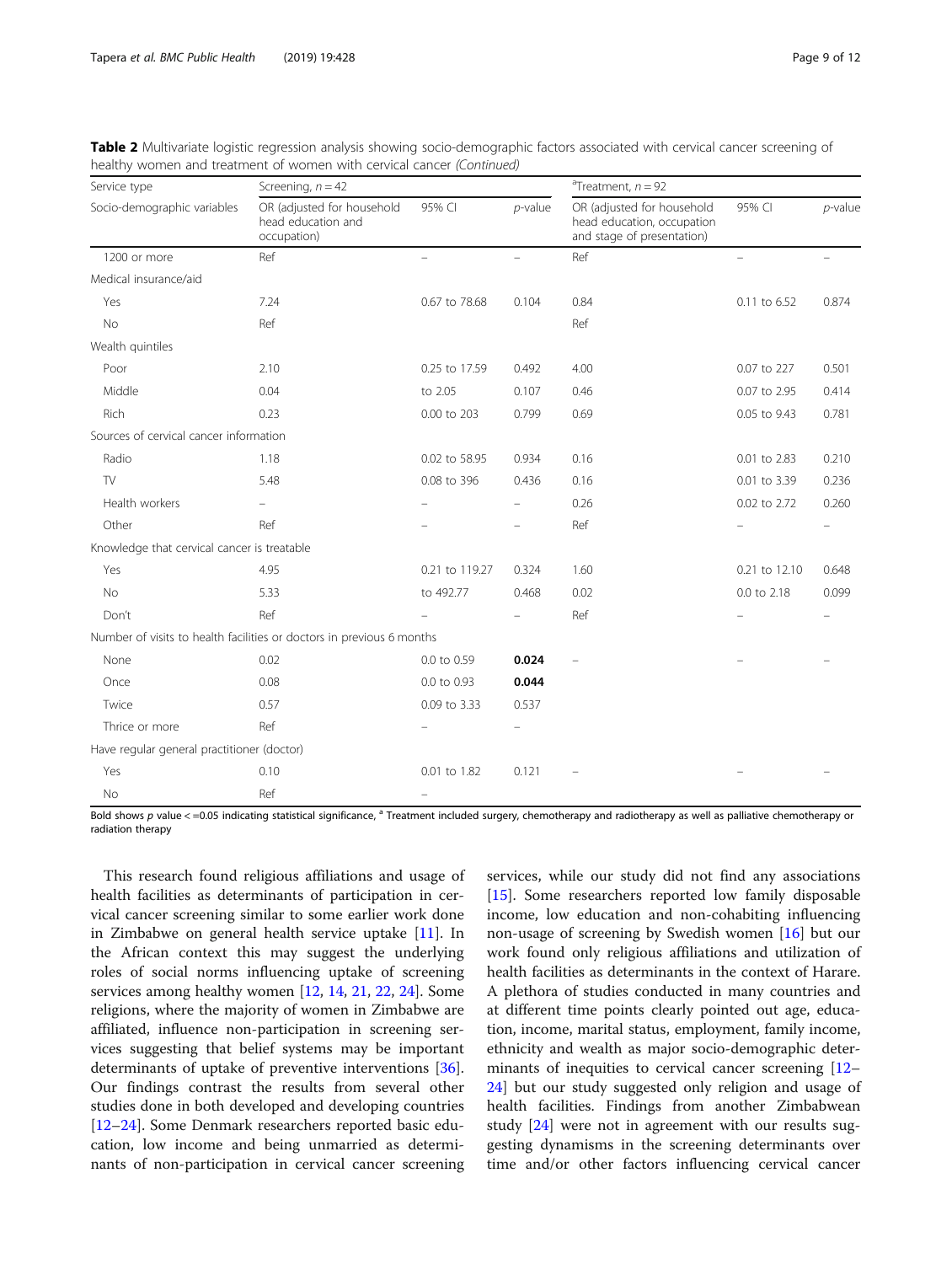| Service type                                | Screening, $n = 42$                                                   |                          | <sup>a</sup> Treatment, $n = 92$ |                                                                                        |               |            |
|---------------------------------------------|-----------------------------------------------------------------------|--------------------------|----------------------------------|----------------------------------------------------------------------------------------|---------------|------------|
| Socio-demographic variables                 | OR (adjusted for household<br>head education and<br>occupation)       | 95% CI                   | $p$ -value                       | OR (adjusted for household<br>head education, occupation<br>and stage of presentation) | 95% CI        | $p$ -value |
| 1200 or more                                | Ref                                                                   | $\overline{\phantom{0}}$ | $\overline{\phantom{0}}$         | Ref                                                                                    | $\equiv$      |            |
| Medical insurance/aid                       |                                                                       |                          |                                  |                                                                                        |               |            |
| Yes                                         | 7.24                                                                  | 0.67 to 78.68            | 0.104                            | 0.84                                                                                   | 0.11 to 6.52  | 0.874      |
| No                                          | Ref                                                                   |                          |                                  | Ref                                                                                    |               |            |
| Wealth quintiles                            |                                                                       |                          |                                  |                                                                                        |               |            |
| Poor                                        | 2.10                                                                  | 0.25 to 17.59            | 0.492                            | 4.00                                                                                   | 0.07 to 227   | 0.501      |
| Middle                                      | 0.04                                                                  | to 2.05                  | 0.107                            | 0.46                                                                                   | 0.07 to 2.95  | 0.414      |
| Rich                                        | 0.23                                                                  | 0.00 to 203              | 0.799                            | 0.69                                                                                   | 0.05 to 9.43  | 0.781      |
| Sources of cervical cancer information      |                                                                       |                          |                                  |                                                                                        |               |            |
| Radio                                       | 1.18                                                                  | 0.02 to 58.95            | 0.934                            | 0.16                                                                                   | 0.01 to 2.83  | 0.210      |
| TV                                          | 5.48                                                                  | 0.08 to 396              | 0.436                            | 0.16                                                                                   | 0.01 to 3.39  | 0.236      |
| Health workers                              |                                                                       |                          |                                  | 0.26                                                                                   | 0.02 to 2.72  | 0.260      |
| Other                                       | Ref                                                                   |                          |                                  | Ref                                                                                    |               | $\equiv$   |
| Knowledge that cervical cancer is treatable |                                                                       |                          |                                  |                                                                                        |               |            |
| Yes                                         | 4.95                                                                  | 0.21 to 119.27           | 0.324                            | 1.60                                                                                   | 0.21 to 12.10 | 0.648      |
| No                                          | 5.33                                                                  | to 492.77                | 0.468                            | 0.02                                                                                   | 0.0 to 2.18   | 0.099      |
| Don't                                       | Ref                                                                   |                          |                                  | Ref                                                                                    |               |            |
|                                             | Number of visits to health facilities or doctors in previous 6 months |                          |                                  |                                                                                        |               |            |
| None                                        | 0.02                                                                  | 0.0 to 0.59              | 0.024                            |                                                                                        |               |            |
| Once                                        | 0.08                                                                  | 0.0 to 0.93              | 0.044                            |                                                                                        |               |            |
| Twice                                       | 0.57                                                                  | 0.09 to 3.33             | 0.537                            |                                                                                        |               |            |
| Thrice or more                              | Ref                                                                   |                          |                                  |                                                                                        |               |            |
| Have regular general practitioner (doctor)  |                                                                       |                          |                                  |                                                                                        |               |            |
| Yes                                         | 0.10                                                                  | 0.01 to 1.82             | 0.121                            |                                                                                        |               |            |
| No                                          | Ref                                                                   |                          |                                  |                                                                                        |               |            |

Table 2 Multivariate logistic regression analysis showing socio-demographic factors associated with cervical cancer screening of healthy women and treatment of women with cervical cancer (Continued)

Bold shows  $p$  value  $\lt$  =0.05 indicating statistical significance,  $^a$  Treatment included surgery, chemotherapy and radiotherapy as well as palliative chemotherapy or radiation therapy

This research found religious affiliations and usage of health facilities as determinants of participation in cervical cancer screening similar to some earlier work done in Zimbabwe on general health service uptake [\[11](#page-10-0)]. In the African context this may suggest the underlying roles of social norms influencing uptake of screening services among healthy women [\[12](#page-10-0), [14](#page-10-0), [21](#page-10-0), [22,](#page-10-0) [24\]](#page-10-0). Some religions, where the majority of women in Zimbabwe are affiliated, influence non-participation in screening services suggesting that belief systems may be important determinants of uptake of preventive interventions [\[36](#page-11-0)]. Our findings contrast the results from several other studies done in both developed and developing countries [[12](#page-10-0)–[24](#page-10-0)]. Some Denmark researchers reported basic education, low income and being unmarried as determinants of non-participation in cervical cancer screening

services, while our study did not find any associations [[15\]](#page-10-0). Some researchers reported low family disposable income, low education and non-cohabiting influencing non-usage of screening by Swedish women [[16\]](#page-10-0) but our work found only religious affiliations and utilization of health facilities as determinants in the context of Harare. A plethora of studies conducted in many countries and at different time points clearly pointed out age, education, income, marital status, employment, family income, ethnicity and wealth as major socio-demographic determinants of inequities to cervical cancer screening [[12](#page-10-0)– [24\]](#page-10-0) but our study suggested only religion and usage of health facilities. Findings from another Zimbabwean study [[24\]](#page-10-0) were not in agreement with our results suggesting dynamisms in the screening determinants over time and/or other factors influencing cervical cancer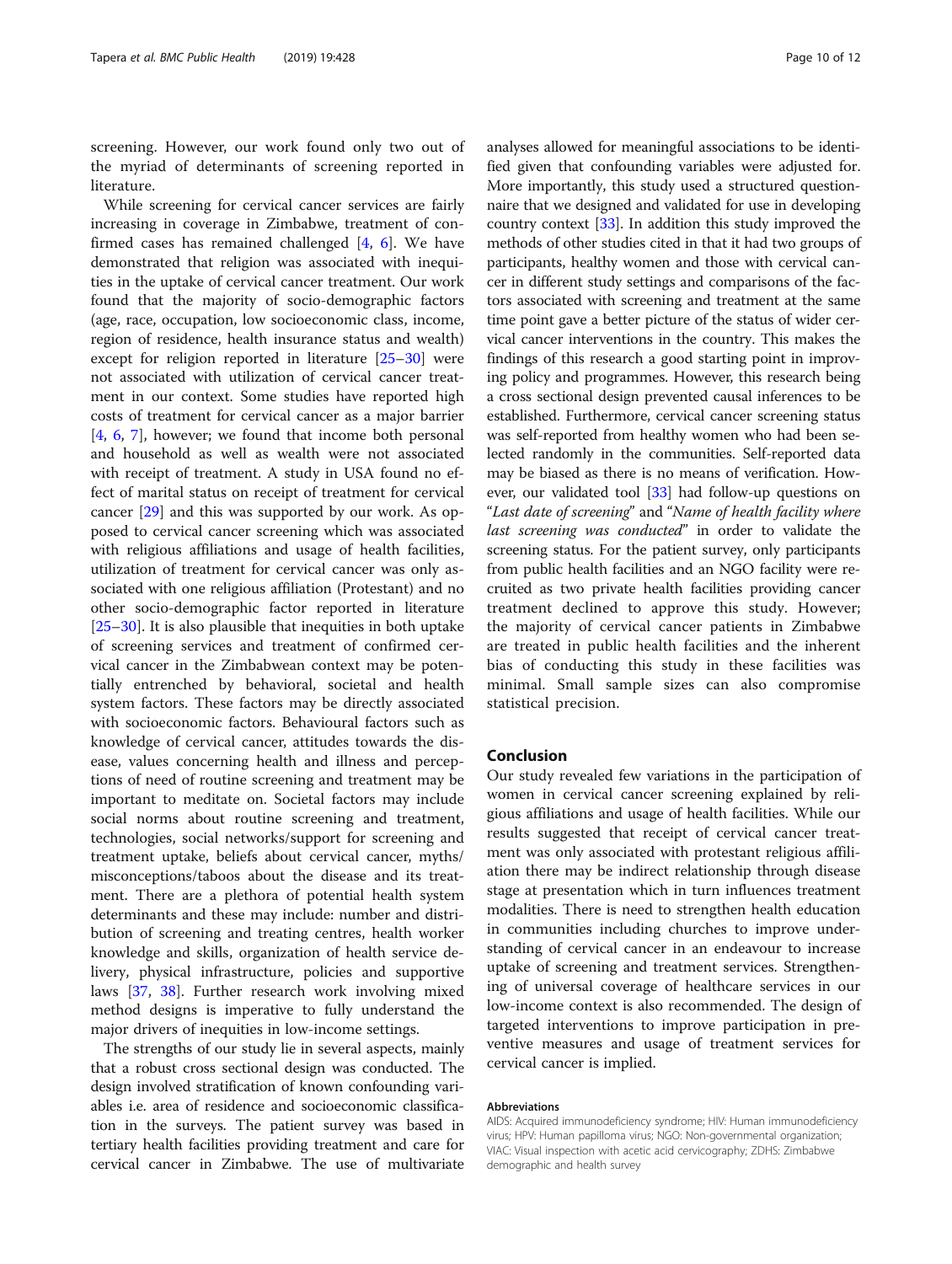screening. However, our work found only two out of the myriad of determinants of screening reported in literature.

While screening for cervical cancer services are fairly increasing in coverage in Zimbabwe, treatment of confirmed cases has remained challenged  $[4, 6]$  $[4, 6]$  $[4, 6]$ . We have demonstrated that religion was associated with inequities in the uptake of cervical cancer treatment. Our work found that the majority of socio-demographic factors (age, race, occupation, low socioeconomic class, income, region of residence, health insurance status and wealth) except for religion reported in literature [[25](#page-10-0)–[30](#page-11-0)] were not associated with utilization of cervical cancer treatment in our context. Some studies have reported high costs of treatment for cervical cancer as a major barrier [[4,](#page-10-0) [6,](#page-10-0) [7\]](#page-10-0), however; we found that income both personal and household as well as wealth were not associated with receipt of treatment. A study in USA found no effect of marital status on receipt of treatment for cervical cancer [[29\]](#page-11-0) and this was supported by our work. As opposed to cervical cancer screening which was associated with religious affiliations and usage of health facilities, utilization of treatment for cervical cancer was only associated with one religious affiliation (Protestant) and no other socio-demographic factor reported in literature [[25](#page-10-0)–[30](#page-11-0)]. It is also plausible that inequities in both uptake of screening services and treatment of confirmed cervical cancer in the Zimbabwean context may be potentially entrenched by behavioral, societal and health system factors. These factors may be directly associated with socioeconomic factors. Behavioural factors such as knowledge of cervical cancer, attitudes towards the disease, values concerning health and illness and perceptions of need of routine screening and treatment may be important to meditate on. Societal factors may include social norms about routine screening and treatment, technologies, social networks/support for screening and treatment uptake, beliefs about cervical cancer, myths/ misconceptions/taboos about the disease and its treatment. There are a plethora of potential health system determinants and these may include: number and distribution of screening and treating centres, health worker knowledge and skills, organization of health service delivery, physical infrastructure, policies and supportive laws [[37,](#page-11-0) [38](#page-11-0)]. Further research work involving mixed method designs is imperative to fully understand the major drivers of inequities in low-income settings.

The strengths of our study lie in several aspects, mainly that a robust cross sectional design was conducted. The design involved stratification of known confounding variables i.e. area of residence and socioeconomic classification in the surveys. The patient survey was based in tertiary health facilities providing treatment and care for cervical cancer in Zimbabwe. The use of multivariate analyses allowed for meaningful associations to be identified given that confounding variables were adjusted for. More importantly, this study used a structured questionnaire that we designed and validated for use in developing country context [\[33\]](#page-11-0). In addition this study improved the methods of other studies cited in that it had two groups of participants, healthy women and those with cervical cancer in different study settings and comparisons of the factors associated with screening and treatment at the same time point gave a better picture of the status of wider cervical cancer interventions in the country. This makes the findings of this research a good starting point in improving policy and programmes. However, this research being a cross sectional design prevented causal inferences to be established. Furthermore, cervical cancer screening status was self-reported from healthy women who had been selected randomly in the communities. Self-reported data may be biased as there is no means of verification. However, our validated tool [[33](#page-11-0)] had follow-up questions on "Last date of screening" and "Name of health facility where last screening was conducted" in order to validate the screening status. For the patient survey, only participants from public health facilities and an NGO facility were recruited as two private health facilities providing cancer treatment declined to approve this study. However; the majority of cervical cancer patients in Zimbabwe are treated in public health facilities and the inherent bias of conducting this study in these facilities was minimal. Small sample sizes can also compromise statistical precision.

# Conclusion

Our study revealed few variations in the participation of women in cervical cancer screening explained by religious affiliations and usage of health facilities. While our results suggested that receipt of cervical cancer treatment was only associated with protestant religious affiliation there may be indirect relationship through disease stage at presentation which in turn influences treatment modalities. There is need to strengthen health education in communities including churches to improve understanding of cervical cancer in an endeavour to increase uptake of screening and treatment services. Strengthening of universal coverage of healthcare services in our low-income context is also recommended. The design of targeted interventions to improve participation in preventive measures and usage of treatment services for cervical cancer is implied.

#### Abbreviations

AIDS: Acquired immunodeficiency syndrome; HIV: Human immunodeficiency virus; HPV: Human papilloma virus; NGO: Non-governmental organization; VIAC: Visual inspection with acetic acid cervicography; ZDHS: Zimbabwe demographic and health survey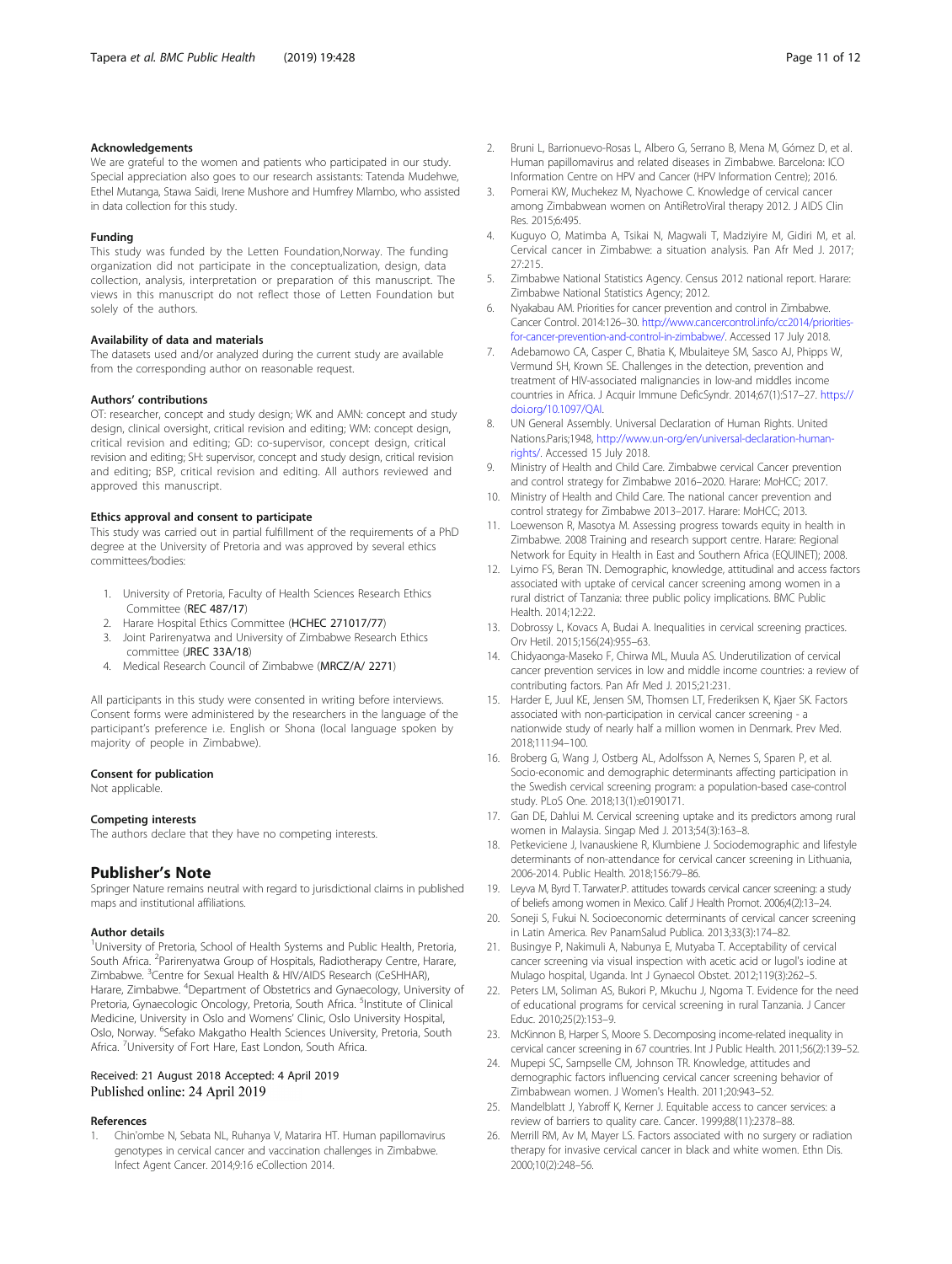## <span id="page-10-0"></span>Acknowledgements

We are grateful to the women and patients who participated in our study. Special appreciation also goes to our research assistants: Tatenda Mudehwe, Ethel Mutanga, Stawa Saidi, Irene Mushore and Humfrey Mlambo, who assisted in data collection for this study.

#### Funding

This study was funded by the Letten Foundation,Norway. The funding organization did not participate in the conceptualization, design, data collection, analysis, interpretation or preparation of this manuscript. The views in this manuscript do not reflect those of Letten Foundation but solely of the authors.

#### Availability of data and materials

The datasets used and/or analyzed during the current study are available from the corresponding author on reasonable request.

# Authors' contributions

OT: researcher, concept and study design; WK and AMN: concept and study design, clinical oversight, critical revision and editing; WM: concept design, critical revision and editing; GD: co-supervisor, concept design, critical revision and editing; SH: supervisor, concept and study design, critical revision and editing; BSP, critical revision and editing. All authors reviewed and approved this manuscript.

#### Ethics approval and consent to participate

This study was carried out in partial fulfillment of the requirements of a PhD degree at the University of Pretoria and was approved by several ethics committees/bodies:

- 1. University of Pretoria, Faculty of Health Sciences Research Ethics Committee (REC 487/17)
- 2. Harare Hospital Ethics Committee (HCHEC 271017/77)
- 3. Joint Parirenyatwa and University of Zimbabwe Research Ethics committee (JREC 33A/18)
- 4. Medical Research Council of Zimbabwe (MRCZ/A/ 2271)

All participants in this study were consented in writing before interviews. Consent forms were administered by the researchers in the language of the participant's preference i.e. English or Shona (local language spoken by majority of people in Zimbabwe).

#### Consent for publication

Not applicable.

#### Competing interests

The authors declare that they have no competing interests.

## Publisher's Note

Springer Nature remains neutral with regard to jurisdictional claims in published maps and institutional affiliations.

#### Author details

<sup>1</sup>University of Pretoria, School of Health Systems and Public Health, Pretoria, South Africa. <sup>2</sup>Parirenyatwa Group of Hospitals, Radiotherapy Centre, Harare, Zimbabwe. <sup>3</sup>Centre for Sexual Health & HIV/AIDS Research (CeSHHAR), Harare, Zimbabwe. <sup>4</sup>Department of Obstetrics and Gynaecology, University of Pretoria, Gynaecologic Oncology, Pretoria, South Africa. <sup>5</sup>Institute of Clinical Medicine, University in Oslo and Womens' Clinic, Oslo University Hospital, Oslo, Norway. <sup>6</sup>Sefako Makgatho Health Sciences University, Pretoria, South Africa. <sup>7</sup>University of Fort Hare, East London, South Africa.

#### Received: 21 August 2018 Accepted: 4 April 2019 Published online: 24 April 2019

#### References

1. Chin'ombe N, Sebata NL, Ruhanya V, Matarira HT. Human papillomavirus genotypes in cervical cancer and vaccination challenges in Zimbabwe. Infect Agent Cancer. 2014;9:16 eCollection 2014.

- 2. Bruni L, Barrionuevo-Rosas L, Albero G, Serrano B, Mena M, Gómez D, et al. Human papillomavirus and related diseases in Zimbabwe. Barcelona: ICO Information Centre on HPV and Cancer (HPV Information Centre); 2016.
- 3. Pomerai KW, Muchekez M, Nyachowe C. Knowledge of cervical cancer among Zimbabwean women on AntiRetroViral therapy 2012. J AIDS Clin Res. 2015;6:495.
- 4. Kuguyo O, Matimba A, Tsikai N, Magwali T, Madziyire M, Gidiri M, et al. Cervical cancer in Zimbabwe: a situation analysis. Pan Afr Med J. 2017; 27:215.
- 5. Zimbabwe National Statistics Agency. Census 2012 national report. Harare: Zimbabwe National Statistics Agency; 2012.
- 6. Nyakabau AM. Priorities for cancer prevention and control in Zimbabwe. Cancer Control. 2014:126–30. [http://www.cancercontrol.info/cc2014/priorities](http://www.cancercontrol.info/cc2014/priorities-for-cancer-prevention-and-control-in-zimbabwe/)[for-cancer-prevention-and-control-in-zimbabwe/.](http://www.cancercontrol.info/cc2014/priorities-for-cancer-prevention-and-control-in-zimbabwe/) Accessed 17 July 2018.
- 7. Adebamowo CA, Casper C, Bhatia K, Mbulaiteye SM, Sasco AJ, Phipps W, Vermund SH, Krown SE. Challenges in the detection, prevention and treatment of HIV-associated malignancies in low-and middles income countries in Africa. J Acquir Immune DeficSyndr. 2014;67(1):S17–27. [https://](https://doi.org/10.1097/QAI) [doi.org/10.1097/QAI.](https://doi.org/10.1097/QAI)
- 8. UN General Assembly. Universal Declaration of Human Rights. United Nations.Paris;1948, [http://www.un-org/en/universal-declaration-human](http://www.un-org/en/universal-declaration-human-rights/)[rights/](http://www.un-org/en/universal-declaration-human-rights/). Accessed 15 July 2018.
- 9. Ministry of Health and Child Care. Zimbabwe cervical Cancer prevention and control strategy for Zimbabwe 2016–2020. Harare: MoHCC; 2017.
- 10. Ministry of Health and Child Care. The national cancer prevention and control strategy for Zimbabwe 2013–2017. Harare: MoHCC; 2013.
- 11. Loewenson R, Masotya M. Assessing progress towards equity in health in Zimbabwe. 2008 Training and research support centre. Harare: Regional Network for Equity in Health in East and Southern Africa (EQUINET); 2008.
- 12. Lyimo FS, Beran TN. Demographic, knowledge, attitudinal and access factors associated with uptake of cervical cancer screening among women in a rural district of Tanzania: three public policy implications. BMC Public Health. 2014;12:22.
- 13. Dobrossy L, Kovacs A, Budai A. Inequalities in cervical screening practices. Orv Hetil. 2015;156(24):955–63.
- 14. Chidyaonga-Maseko F, Chirwa ML, Muula AS. Underutilization of cervical cancer prevention services in low and middle income countries: a review of contributing factors. Pan Afr Med J. 2015;21:231.
- 15. Harder E, Juul KE, Jensen SM, Thomsen LT, Frederiksen K, Kjaer SK. Factors associated with non-participation in cervical cancer screening - a nationwide study of nearly half a million women in Denmark. Prev Med. 2018;111:94–100.
- 16. Broberg G, Wang J, Ostberg AL, Adolfsson A, Nemes S, Sparen P, et al. Socio-economic and demographic determinants affecting participation in the Swedish cervical screening program: a population-based case-control study. PLoS One. 2018;13(1):e0190171.
- 17. Gan DE, Dahlui M. Cervical screening uptake and its predictors among rural women in Malaysia. Singap Med J. 2013;54(3):163–8.
- 18. Petkeviciene J, Ivanauskiene R, Klumbiene J. Sociodemographic and lifestyle determinants of non-attendance for cervical cancer screening in Lithuania, 2006-2014. Public Health. 2018;156:79–86.
- 19. Leyva M, Byrd T. Tarwater.P. attitudes towards cervical cancer screening: a study of beliefs among women in Mexico. Calif J Health Promot. 2006;4(2):13–24.
- 20. Soneji S, Fukui N. Socioeconomic determinants of cervical cancer screening in Latin America. Rev PanamSalud Publica. 2013;33(3):174–82.
- 21. Busingye P, Nakimuli A, Nabunya E, Mutyaba T. Acceptability of cervical cancer screening via visual inspection with acetic acid or lugol's iodine at Mulago hospital, Uganda. Int J Gynaecol Obstet. 2012;119(3):262–5.
- 22. Peters LM, Soliman AS, Bukori P, Mkuchu J, Ngoma T. Evidence for the need of educational programs for cervical screening in rural Tanzania. J Cancer Educ. 2010;25(2):153–9.
- 23. McKinnon B, Harper S, Moore S. Decomposing income-related inequality in cervical cancer screening in 67 countries. Int J Public Health. 2011;56(2):139–52.
- 24. Mupepi SC, Sampselle CM, Johnson TR. Knowledge, attitudes and demographic factors influencing cervical cancer screening behavior of Zimbabwean women. J Women's Health. 2011;20:943–52.
- 25. Mandelblatt J, Yabroff K, Kerner J. Equitable access to cancer services: a review of barriers to quality care. Cancer. 1999;88(11):2378–88.
- 26. Merrill RM, Av M, Mayer LS. Factors associated with no surgery or radiation therapy for invasive cervical cancer in black and white women. Ethn Dis. 2000;10(2):248–56.